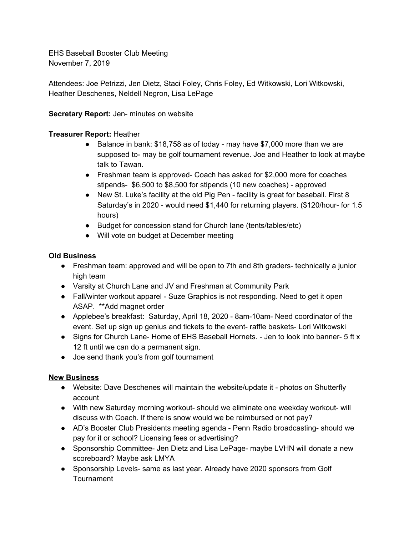EHS Baseball Booster Club Meeting November 7, 2019

Attendees: Joe Petrizzi, Jen Dietz, Staci Foley, Chris Foley, Ed Witkowski, Lori Witkowski, Heather Deschenes, Neldell Negron, Lisa LePage

**Secretary Report:** Jen- minutes on website

## **Treasurer Report:** Heather

- Balance in bank: \$18,758 as of today may have \$7,000 more than we are supposed to- may be golf tournament revenue. Joe and Heather to look at maybe talk to Tawan.
- Freshman team is approved- Coach has asked for \$2,000 more for coaches stipends- \$6,500 to \$8,500 for stipends (10 new coaches) - approved
- New St. Luke's facility at the old Pig Pen facility is great for baseball. First 8 Saturday's in 2020 - would need \$1,440 for returning players. (\$120/hour- for 1.5 hours)
- Budget for concession stand for Church lane (tents/tables/etc)
- Will vote on budget at December meeting

## **Old Business**

- Freshman team: approved and will be open to 7th and 8th graders- technically a junior high team
- Varsity at Church Lane and JV and Freshman at Community Park
- Fall/winter workout apparel Suze Graphics is not responding. Need to get it open ASAP. \*\*Add magnet order
- Applebee's breakfast: Saturday, April 18, 2020 8am-10am- Need coordinator of the event. Set up sign up genius and tickets to the event- raffle baskets- Lori Witkowski
- Signs for Church Lane- Home of EHS Baseball Hornets. Jen to look into banner- 5 ft x 12 ft until we can do a permanent sign.
- Joe send thank you's from golf tournament

## **New Business**

- Website: Dave Deschenes will maintain the website/update it photos on Shutterfly account
- With new Saturday morning workout- should we eliminate one weekday workout- will discuss with Coach. If there is snow would we be reimbursed or not pay?
- AD's Booster Club Presidents meeting agenda Penn Radio broadcasting- should we pay for it or school? Licensing fees or advertising?
- Sponsorship Committee- Jen Dietz and Lisa LePage- maybe LVHN will donate a new scoreboard? Maybe ask LMYA
- Sponsorship Levels- same as last year. Already have 2020 sponsors from Golf **Tournament**